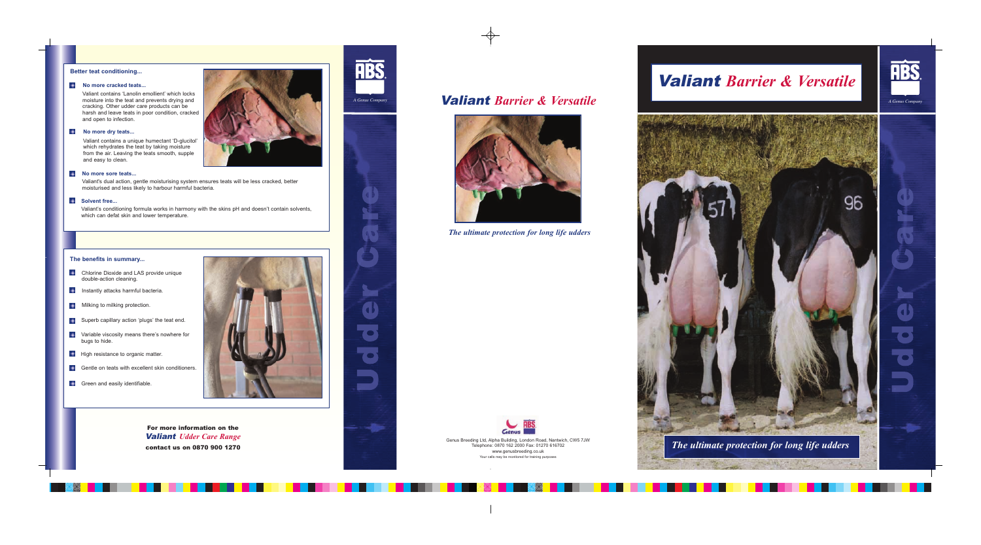For more information on the Valiant *Udder Care Range* contact us on 0870 900 1270







*The ultimate protection for long life udders*

Genus Breeding Ltd, Alpha Building, London Road, Nantwich, CW5 7JW Telephone: 0870 162 2000 Fax: 01270 616702 www.genusbreeding.co.uk Your calls may be monitored for training purposes

*The ultimate protection for long life udders*

**START AND THE TIME** 

**TOWNSHIP** 



# Valiant *Barrier & Versatile*





### **Better teat conditioning...**

#### **No more cracked teats...**

Valiant contains 'Lanolin emollient' which locks moisture into the teat and prevents drying and cracking. Other udder care products can be harsh and leave teats in poor condition, cracked and open to infection.

#### $\ddotmark$ **No more dry teats...**

Valiant contains a unique humectant 'D-glucitol' which rehydrates the teat by taking moisture from the air. Leaving the teats smooth, supple and easy to clean.

### **No more sore teats...**

# Valiant *Barrier & Versatile A Genus Company A Genus Company*

Valiant's dual action, gentle moisturising system ensures teats will be less cracked, better moisturised and less likely to harbour harmful bacteria.

## **Solvent free...**

Valiant's conditioning formula works in harmony with the skins pH and doesn't contain solvents, which can defat skin and lower temperature.

### **The benefits in summary...**

- **Chlorine Dioxide and LAS provide unique** double-action cleaning.
- **Instantly attacks harmful bacteria.**
- **Milking to milking protection.**
- **Superb capillary action 'plugs' the teat end.**
- **Variable viscosity means there's nowhere for** bugs to hide.
- $\triangleq$ High resistance to organic matter.
- Gentle on teats with excellent skin conditioners.
- Green and easily identifiable.